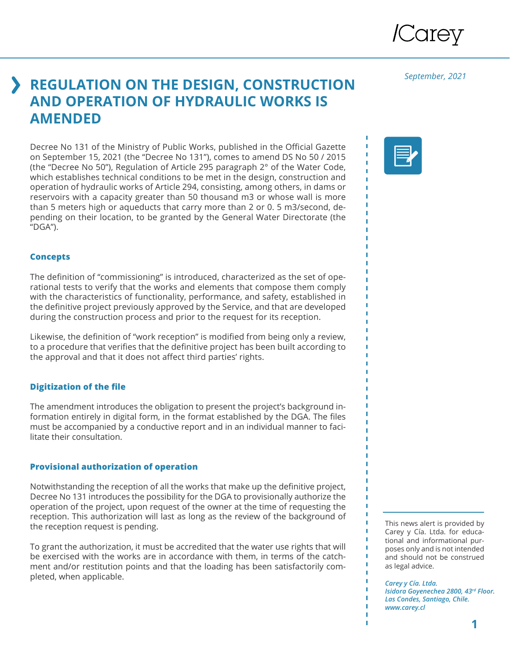

*September, 2021*

# **REGULATION ON THE DESIGN, CONSTRUCTION AND OPERATION OF HYDRAULIC WORKS IS AMENDED**

Decree No 131 of the Ministry of Public Works, published in the Official Gazette on September 15, 2021 (the "Decree No 131"), comes to amend DS No 50 / 2015 (the "Decree No 50"), Regulation of Article 295 paragraph 2° of the Water Code, which establishes technical conditions to be met in the design, construction and operation of hydraulic works of Article 294, consisting, among others, in dams or reservoirs with a capacity greater than 50 thousand m3 or whose wall is more than 5 meters high or aqueducts that carry more than 2 or 0. 5 m3/second, depending on their location, to be granted by the General Water Directorate (the "DGA").

### **Concepts**

The definition of "commissioning" is introduced, characterized as the set of operational tests to verify that the works and elements that compose them comply with the characteristics of functionality, performance, and safety, established in the definitive project previously approved by the Service, and that are developed during the construction process and prior to the request for its reception.

Likewise, the definition of "work reception" is modified from being only a review, to a procedure that verifies that the definitive project has been built according to the approval and that it does not affect third parties' rights.

# **Digitization of the file**

The amendment introduces the obligation to present the project's background information entirely in digital form, in the format established by the DGA. The files must be accompanied by a conductive report and in an individual manner to facilitate their consultation.

# **Provisional authorization of operation**

Notwithstanding the reception of all the works that make up the definitive project, Decree No 131 introduces the possibility for the DGA to provisionally authorize the operation of the project, upon request of the owner at the time of requesting the reception. This authorization will last as long as the review of the background of the reception request is pending.

To grant the authorization, it must be accredited that the water use rights that will be exercised with the works are in accordance with them, in terms of the catchment and/or restitution points and that the loading has been satisfactorily completed, when applicable.



This news alert is provided by Carey y Cía. Ltda. for educational and informational purposes only and is not intended and should not be construed as legal advice.

*Carey y Cía. Ltda. Isidora Goyenechea 2800, 43rd Floor. Las Condes, Santiago, Chile. www.carey.cl*